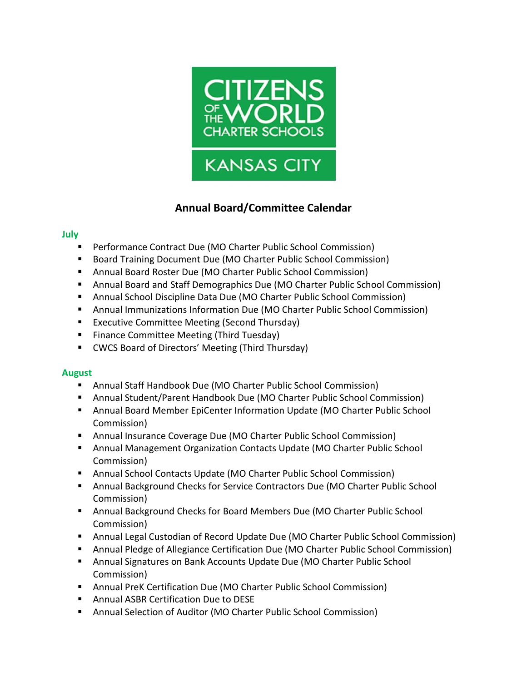

# **Annual Board/Committee Calendar**

### **July**

- Performance Contract Due (MO Charter Public School Commission)
- Board Training Document Due (MO Charter Public School Commission)
- Annual Board Roster Due (MO Charter Public School Commission)
- **E** Annual Board and Staff Demographics Due (MO Charter Public School Commission)
- Annual School Discipline Data Due (MO Charter Public School Commission)
- **E** Annual Immunizations Information Due (MO Charter Public School Commission)
- Executive Committee Meeting (Second Thursday)
- Finance Committee Meeting (Third Tuesday)
- CWCS Board of Directors' Meeting (Third Thursday)

# **August**

- Annual Staff Handbook Due (MO Charter Public School Commission)
- Annual Student/Parent Handbook Due (MO Charter Public School Commission)
- **■** Annual Board Member EpiCenter Information Update (MO Charter Public School Commission)
- Annual Insurance Coverage Due (MO Charter Public School Commission)
- **E** Annual Management Organization Contacts Update (MO Charter Public School Commission)
- Annual School Contacts Update (MO Charter Public School Commission)
- Annual Background Checks for Service Contractors Due (MO Charter Public School Commission)
- **E** Annual Background Checks for Board Members Due (MO Charter Public School Commission)
- Annual Legal Custodian of Record Update Due (MO Charter Public School Commission)
- **E** Annual Pledge of Allegiance Certification Due (MO Charter Public School Commission)
- **E** Annual Signatures on Bank Accounts Update Due (MO Charter Public School Commission)
- Annual PreK Certification Due (MO Charter Public School Commission)
- Annual ASBR Certification Due to DESE
- Annual Selection of Auditor (MO Charter Public School Commission)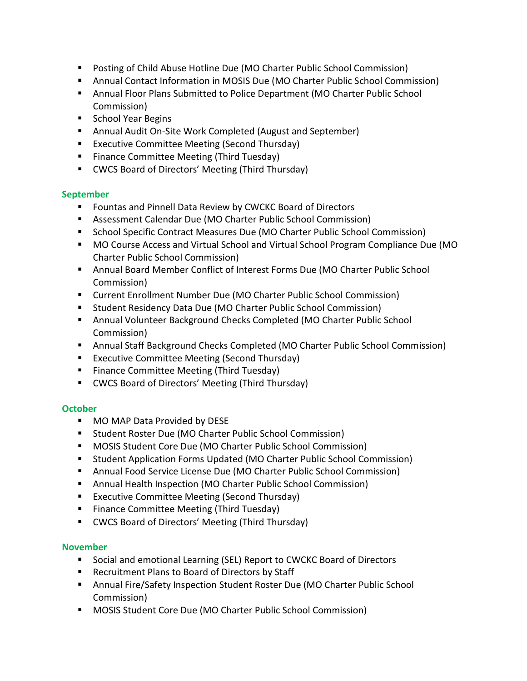- Posting of Child Abuse Hotline Due (MO Charter Public School Commission)
- Annual Contact Information in MOSIS Due (MO Charter Public School Commission)
- **E** Annual Floor Plans Submitted to Police Department (MO Charter Public School Commission)
- School Year Begins
- Annual Audit On-Site Work Completed (August and September)
- Executive Committee Meeting (Second Thursday)
- Finance Committee Meeting (Third Tuesday)
- CWCS Board of Directors' Meeting (Third Thursday)

# **September**

- Fountas and Pinnell Data Review by CWCKC Board of Directors
- Assessment Calendar Due (MO Charter Public School Commission)
- **E** School Specific Contract Measures Due (MO Charter Public School Commission)
- MO Course Access and Virtual School and Virtual School Program Compliance Due (MO Charter Public School Commission)
- Annual Board Member Conflict of Interest Forms Due (MO Charter Public School Commission)
- Current Enrollment Number Due (MO Charter Public School Commission)
- Student Residency Data Due (MO Charter Public School Commission)
- Annual Volunteer Background Checks Completed (MO Charter Public School Commission)
- Annual Staff Background Checks Completed (MO Charter Public School Commission)
- Executive Committee Meeting (Second Thursday)
- Finance Committee Meeting (Third Tuesday)
- CWCS Board of Directors' Meeting (Third Thursday)

# **October**

- MO MAP Data Provided by DESE
- Student Roster Due (MO Charter Public School Commission)
- MOSIS Student Core Due (MO Charter Public School Commission)
- Student Application Forms Updated (MO Charter Public School Commission)
- Annual Food Service License Due (MO Charter Public School Commission)
- Annual Health Inspection (MO Charter Public School Commission)
- Executive Committee Meeting (Second Thursday)
- Finance Committee Meeting (Third Tuesday)
- CWCS Board of Directors' Meeting (Third Thursday)

# **November**

- Social and emotional Learning (SEL) Report to CWCKC Board of Directors
- Recruitment Plans to Board of Directors by Staff
- **■** Annual Fire/Safety Inspection Student Roster Due (MO Charter Public School Commission)
- MOSIS Student Core Due (MO Charter Public School Commission)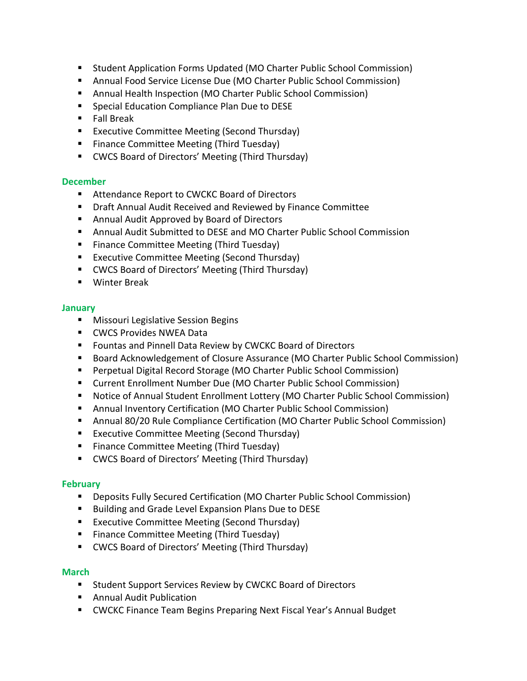- Student Application Forms Updated (MO Charter Public School Commission)
- Annual Food Service License Due (MO Charter Public School Commission)
- Annual Health Inspection (MO Charter Public School Commission)
- Special Education Compliance Plan Due to DESE
- Fall Break
- Executive Committee Meeting (Second Thursday)
- Finance Committee Meeting (Third Tuesday)
- CWCS Board of Directors' Meeting (Third Thursday)

#### **December**

- Attendance Report to CWCKC Board of Directors
- Draft Annual Audit Received and Reviewed by Finance Committee
- Annual Audit Approved by Board of Directors
- Annual Audit Submitted to DESE and MO Charter Public School Commission
- Finance Committee Meeting (Third Tuesday)
- Executive Committee Meeting (Second Thursday)
- CWCS Board of Directors' Meeting (Third Thursday)
- Winter Break

#### **January**

- **■** Missouri Legislative Session Begins
- CWCS Provides NWEA Data
- Fountas and Pinnell Data Review by CWCKC Board of Directors
- Board Acknowledgement of Closure Assurance (MO Charter Public School Commission)
- Perpetual Digital Record Storage (MO Charter Public School Commission)
- Current Enrollment Number Due (MO Charter Public School Commission)
- Notice of Annual Student Enrollment Lottery (MO Charter Public School Commission)
- Annual Inventory Certification (MO Charter Public School Commission)
- Annual 80/20 Rule Compliance Certification (MO Charter Public School Commission)
- Executive Committee Meeting (Second Thursday)
- Finance Committee Meeting (Third Tuesday)
- CWCS Board of Directors' Meeting (Third Thursday)

### **February**

- Deposits Fully Secured Certification (MO Charter Public School Commission)
- Building and Grade Level Expansion Plans Due to DESE
- Executive Committee Meeting (Second Thursday)
- Finance Committee Meeting (Third Tuesday)
- CWCS Board of Directors' Meeting (Third Thursday)

### **March**

- Student Support Services Review by CWCKC Board of Directors
- Annual Audit Publication
- CWCKC Finance Team Begins Preparing Next Fiscal Year's Annual Budget